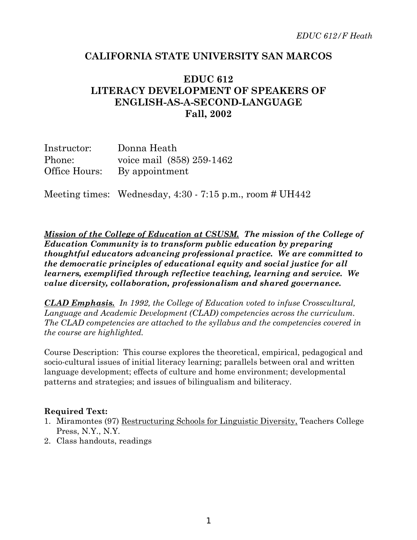## **CALIFORNIA STATE UNIVERSITY SAN MARCOS**

# **EDUC 612 LITERACY DEVELOPMENT OF SPEAKERS OF ENGLISH-AS-A-SECOND-LANGUAGE Fall, 2002**

| Instructor:   | Donna Heath               |  |  |
|---------------|---------------------------|--|--|
| Phone:        | voice mail (858) 259-1462 |  |  |
| Office Hours: | By appointment            |  |  |

Meeting times: Wednesday,  $4:30 - 7:15$  p.m., room # UH442

*Mission of the College of Education at CSUSM. The mission of the College of Education Community is to transform public education by preparing thoughtful educators advancing professional practice. We are committed to the democratic principles of educational equity and social justice for all learners, exemplified through reflective teaching, learning and service. We value diversity, collaboration, professionalism and shared governance.*

*CLAD Emphasis. In 1992, the College of Education voted to infuse Crosscultural, Language and Academic Development (CLAD) competencies across the curriculum. The CLAD competencies are attached to the syllabus and the competencies covered in the course are highlighted.*

Course Description: This course explores the theoretical, empirical, pedagogical and socio-cultural issues of initial literacy learning; parallels between oral and written language development; effects of culture and home environment; developmental patterns and strategies; and issues of bilingualism and biliteracy.

#### **Required Text:**

- 1. Miramontes (97) Restructuring Schools for Linguistic Diversity, Teachers College Press, N.Y., N.Y.
- 2. Class handouts, readings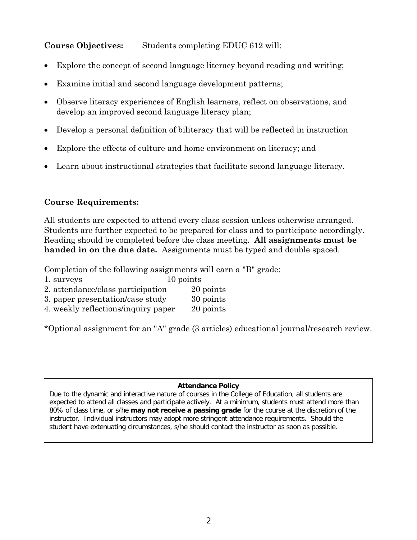## **Course Objectives:** Students completing EDUC 612 will:

- Explore the concept of second language literacy beyond reading and writing;
- Examine initial and second language development patterns;
- Observe literacy experiences of English learners, reflect on observations, and develop an improved second language literacy plan;
- Develop a personal definition of biliteracy that will be reflected in instruction
- Explore the effects of culture and home environment on literacy; and
- Learn about instructional strategies that facilitate second language literacy.

## **Course Requirements:**

All students are expected to attend every class session unless otherwise arranged. Students are further expected to be prepared for class and to participate accordingly. Reading should be completed before the class meeting. **All assignments must be handed in on the due date.** Assignments must be typed and double spaced.

Completion of the following assignments will earn a "B" grade:

- 1. surveys 10 points
- 2. attendance/class participation 20 points
- 3. paper presentation/case study 30 points
- 4. weekly reflections/inquiry paper 20 points

\*Optional assignment for an "A" grade (3 articles) educational journal/research review.

#### **Attendance Policy**

Due to the dynamic and interactive nature of courses in the College of Education, all students are expected to attend all classes and participate actively. At a minimum, students must attend more than 80% of class time, or s/he **may not receive a passing grade** for the course at the discretion of the instructor. Individual instructors may adopt more stringent attendance requirements. Should the student have extenuating circumstances, s/he should contact the instructor as soon as possible.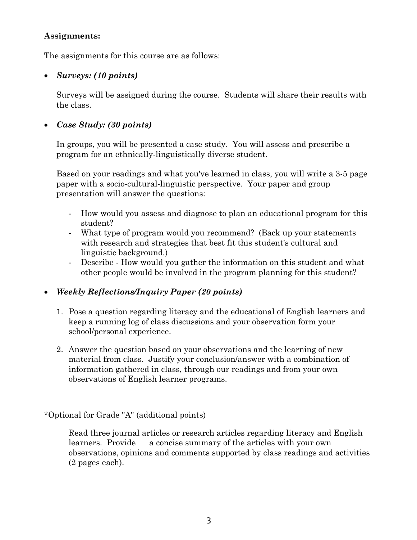#### **Assignments:**

The assignments for this course are as follows:

### • *Surveys: (10 points)*

Surveys will be assigned during the course. Students will share their results with the class.

## • *Case Study: (30 points)*

In groups, you will be presented a case study. You will assess and prescribe a program for an ethnically-linguistically diverse student.

Based on your readings and what you've learned in class, you will write a 3-5 page paper with a socio-cultural-linguistic perspective. Your paper and group presentation will answer the questions:

- How would you assess and diagnose to plan an educational program for this student?
- What type of program would you recommend? (Back up your statements with research and strategies that best fit this student's cultural and linguistic background.)
- Describe How would you gather the information on this student and what other people would be involved in the program planning for this student?

## • *Weekly Reflections/Inquiry Paper (20 points)*

- 1. Pose a question regarding literacy and the educational of English learners and keep a running log of class discussions and your observation form your school/personal experience.
- 2. Answer the question based on your observations and the learning of new material from class. Justify your conclusion/answer with a combination of information gathered in class, through our readings and from your own observations of English learner programs.

\*Optional for Grade "A" (additional points)

Read three journal articles or research articles regarding literacy and English learners. Provide a concise summary of the articles with your own observations, opinions and comments supported by class readings and activities (2 pages each).